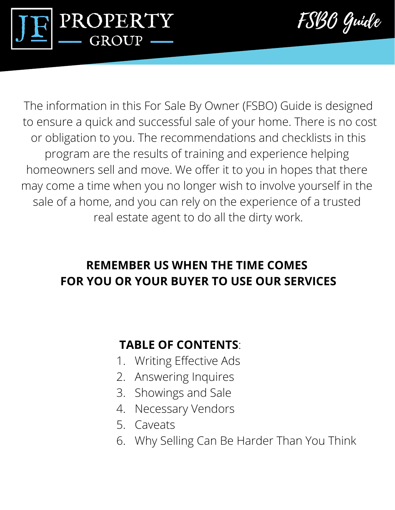



The information in this For Sale By Owner (FSBO) Guide is designed to ensure a quick and successful sale of your home. There is no cost or obligation to you. The recommendations and checklists in this program are the results of training and experience helping homeowners sell and move. We offer it to you in hopes that there may come a time when you no longer wish to involve yourself in the sale of a home, and you can rely on the experience of a trusted real estate agent to do all the dirty work.

#### **REMEMBER US WHEN THE TIME COMES FOR YOU OR YOUR BUYER TO USE OUR SERVICES**

#### **TABLE OF CONTENTS**:

- 1. Writing Effective Ads
- 2. Answering Inquires
- 3. Showings and Sale
- 4. Necessary Vendors
- 5. Caveats
- 6. Why Selling Can Be Harder Than You Think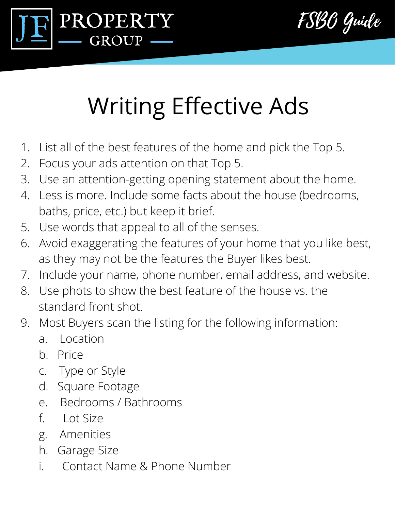



# Writing Effective Ads

- 1. List all of the best features of the home and pick the Top 5.
- 2. Focus your ads attention on that Top 5.
- 3. Use an attention-getting opening statement about the home.
- 4. Less is more. Include some facts about the house (bedrooms, baths, price, etc.) but keep it brief.
- 5. Use words that appeal to all of the senses.
- 6. Avoid exaggerating the features of your home that you like best, as they may not be the features the Buyer likes best.
- 7. Include your name, phone number, email address, and website.
- 8. Use phots to show the best feature of the house vs. the standard front shot.
- 9. Most Buyers scan the listing for the following information:
	- a. Location
	- b. Price
	- c. Type or Style
	- d. Square Footage
	- e. Bedrooms / Bathrooms
	- f. Lot Size
	- g. Amenities
	- h. Garage Size
	- i. Contact Name & Phone Number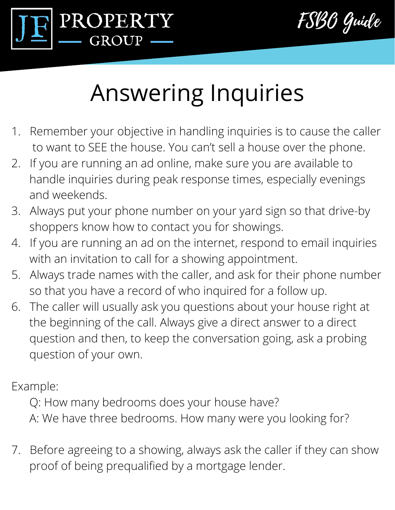

FSBO Guide

### Answering Inquiries

- 1. Remember your objective in handling inquiries is to cause the caller to want to SEE the house. You can't sell a house over the phone.
- 2. If you are running an ad online, make sure you are available to handle inquiries during peak response times, especially evenings and weekends.
- 3. Always put your phone number on your yard sign so that drive-by shoppers know how to contact you for showings.
- 4. If you are running an ad on the internet, respond to email inquiries with an invitation to call for a showing appointment.
- 5. Always trade names with the caller, and ask for their phone number so that you have a record of who inquired for a follow up.
- 6. The caller will usually ask you questions about your house right at the beginning of the call. Always give a direct answer to a direct question and then, to keep the conversation going, ask a probing question of your own.

Example:

 Q: How many bedrooms does your house have? A: We have three bedrooms. How many were you looking for?

7. Before agreeing to a showing, always ask the caller if they can show proof of being prequalified by a mortgage lender.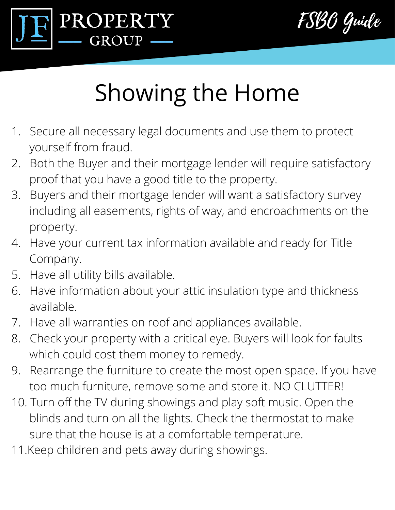



## Showing the Home

- 1. Secure all necessary legal documents and use them to protect yourself from fraud.
- 2. Both the Buyer and their mortgage lender will require satisfactory proof that you have a good title to the property.
- 3. Buyers and their mortgage lender will want a satisfactory survey including all easements, rights of way, and encroachments on the property.
- 4. Have your current tax information available and ready for Title Company.
- 5. Have all utility bills available.
- 6. Have information about your attic insulation type and thickness available.
- 7. Have all warranties on roof and appliances available.
- 8. Check your property with a critical eye. Buyers will look for faults which could cost them money to remedy.
- 9. Rearrange the furniture to create the most open space. If you have too much furniture, remove some and store it. NO CLUTTER!
- 10. Turn off the TV during showings and play soft music. Open the blinds and turn on all the lights. Check the thermostat to make sure that the house is at a comfortable temperature.
- 11.Keep children and pets away during showings.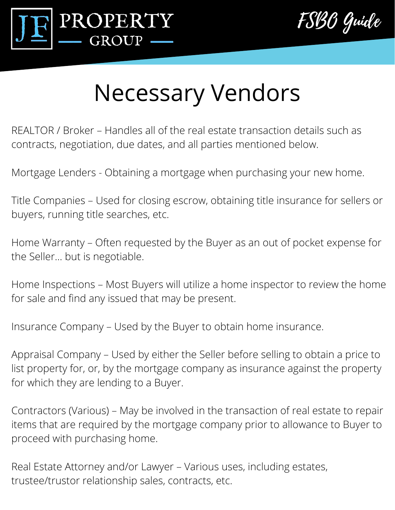



### Necessary Vendors

REALTOR / Broker – Handles all of the real estate transaction details such as contracts, negotiation, due dates, and all parties mentioned below.

Mortgage Lenders - Obtaining a mortgage when purchasing your new home.

Title Companies – Used for closing escrow, obtaining title insurance for sellers or buyers, running title searches, etc.

Home Warranty – Often requested by the Buyer as an out of pocket expense for the Seller… but is negotiable.

Home Inspections – Most Buyers will utilize a home inspector to review the home for sale and find any issued that may be present.

Insurance Company – Used by the Buyer to obtain home insurance.

Appraisal Company – Used by either the Seller before selling to obtain a price to list property for, or, by the mortgage company as insurance against the property for which they are lending to a Buyer.

Contractors (Various) – May be involved in the transaction of real estate to repair items that are required by the mortgage company prior to allowance to Buyer to proceed with purchasing home.

Real Estate Attorney and/or Lawyer – Various uses, including estates, trustee/trustor relationship sales, contracts, etc.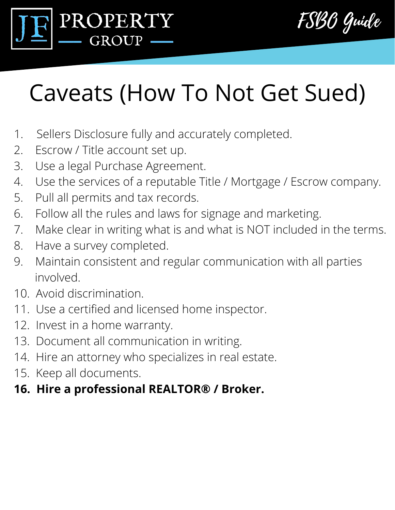



## Caveats (How To Not Get Sued)

- 1. Sellers Disclosure fully and accurately completed.
- 2. Escrow / Title account set up.
- 3. Use a legal Purchase Agreement.
- 4. Use the services of a reputable Title / Mortgage / Escrow company.
- 5. Pull all permits and tax records.
- 6. Follow all the rules and laws for signage and marketing.
- 7. Make clear in writing what is and what is NOT included in the terms.
- 8. Have a survey completed.
- 9. Maintain consistent and regular communication with all parties involved.
- 10. Avoid discrimination.
- 11. Use a certified and licensed home inspector.
- 12. Invest in a home warranty.
- 13. Document all communication in writing.
- 14. Hire an attorney who specializes in real estate.
- 15. Keep all documents.
- **16. Hire a professional REALTOR® / Broker.**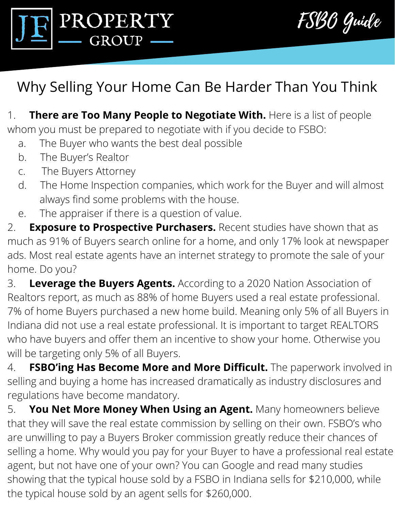



### Why Selling Your Home Can Be Harder Than You Think

1. **There are Too Many People to Negotiate With.** Here is a list of people whom you must be prepared to negotiate with if you decide to FSBO:

- a. The Buyer who wants the best deal possible
- b. The Buyer's Realtor
- c. The Buyers Attorney
- d. The Home Inspection companies, which work for the Buyer and will almost always find some problems with the house.
- e. The appraiser if there is a question of value.

2. **Exposure to Prospective Purchasers.** Recent studies have shown that as much as 91% of Buyers search online for a home, and only 17% look at newspaper ads. Most real estate agents have an internet strategy to promote the sale of your home. Do you?

3. **Leverage the Buyers Agents.** According to a 2020 Nation Association of Realtors report, as much as 88% of home Buyers used a real estate professional. 7% of home Buyers purchased a new home build. Meaning only 5% of all Buyers in Indiana did not use a real estate professional. It is important to target REALTORS who have buyers and offer them an incentive to show your home. Otherwise you will be targeting only 5% of all Buyers.

4. **FSBO'ing Has Become More and More Difficult.** The paperwork involved in selling and buying a home has increased dramatically as industry disclosures and regulations have become mandatory.

5. **You Net More Money When Using an Agent.** Many homeowners believe that they will save the real estate commission by selling on their own. FSBO's who are unwilling to pay a Buyers Broker commission greatly reduce their chances of selling a home. Why would you pay for your Buyer to have a professional real estate agent, but not have one of your own? You can Google and read many studies showing that the typical house sold by a FSBO in Indiana sells for \$210,000, while the typical house sold by an agent sells for \$260,000.